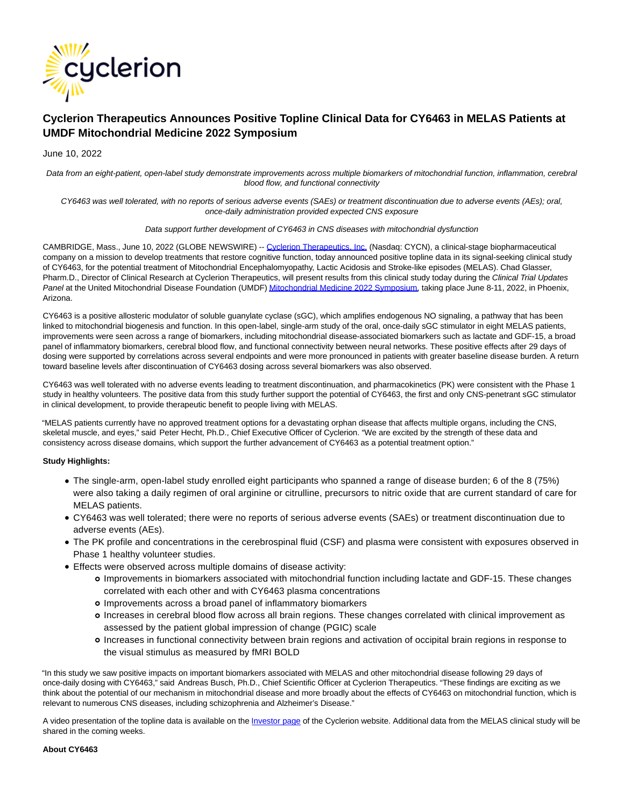

# **Cyclerion Therapeutics Announces Positive Topline Clinical Data for CY6463 in MELAS Patients at UMDF Mitochondrial Medicine 2022 Symposium**

## June 10, 2022

Data from an eight-patient, open-label study demonstrate improvements across multiple biomarkers of mitochondrial function, inflammation, cerebral blood flow, and functional connectivity

CY6463 was well tolerated, with no reports of serious adverse events (SAEs) or treatment discontinuation due to adverse events (AEs); oral, once-daily administration provided expected CNS exposure

#### Data support further development of CY6463 in CNS diseases with mitochondrial dysfunction

CAMBRIDGE, Mass., June 10, 2022 (GLOBE NEWSWIRE) -- [Cyclerion Therapeutics, Inc. \(](https://www.globenewswire.com/Tracker?data=VYMxgTaGl84KjIwgioPohhVUeIgrh2Lh82Y-LPS4SlStwhUVno6KwtiSDElh6SAyafO78nbL0YXX7Ix1qAhISnxBbUE2t1JMbofzR83jc7o=)Nasdaq: CYCN), a clinical-stage biopharmaceutical company on a mission to develop treatments that restore cognitive function, today announced positive topline data in its signal-seeking clinical study of CY6463, for the potential treatment of Mitochondrial Encephalomyopathy, Lactic Acidosis and Stroke-like episodes (MELAS). Chad Glasser, Pharm.D., Director of Clinical Research at Cyclerion Therapeutics, will present results from this clinical study today during the Clinical Trial Updates Panel at the United Mitochondrial Disease Foundation (UMDF[\) Mitochondrial Medicine 2022 Symposium,](https://www.globenewswire.com/Tracker?data=W3F1qEmNeEFGaELtX0BVSSCBo02KDRRDTwtpjLHgAs25rysaO6f3fVvCICQySmJYZGPtPTLCFS1NJBr2KXXKXbkWFzzkkrAA2haA6xyXsuSxsvZHkf1E7mKnl2Dg2rIJ) taking place June 8-11, 2022, in Phoenix, Arizona.

CY6463 is a positive allosteric modulator of soluble guanylate cyclase (sGC), which amplifies endogenous NO signaling, a pathway that has been linked to mitochondrial biogenesis and function. In this open-label, single-arm study of the oral, once-daily sGC stimulator in eight MELAS patients, improvements were seen across a range of biomarkers, including mitochondrial disease-associated biomarkers such as lactate and GDF-15, a broad panel of inflammatory biomarkers, cerebral blood flow, and functional connectivity between neural networks. These positive effects after 29 days of dosing were supported by correlations across several endpoints and were more pronounced in patients with greater baseline disease burden. A return toward baseline levels after discontinuation of CY6463 dosing across several biomarkers was also observed.

CY6463 was well tolerated with no adverse events leading to treatment discontinuation, and pharmacokinetics (PK) were consistent with the Phase 1 study in healthy volunteers. The positive data from this study further support the potential of CY6463, the first and only CNS-penetrant sGC stimulator in clinical development, to provide therapeutic benefit to people living with MELAS.

"MELAS patients currently have no approved treatment options for a devastating orphan disease that affects multiple organs, including the CNS, skeletal muscle, and eyes," said Peter Hecht, Ph.D., Chief Executive Officer of Cyclerion. "We are excited by the strength of these data and consistency across disease domains, which support the further advancement of CY6463 as a potential treatment option."

## **Study Highlights:**

- The single-arm, open-label study enrolled eight participants who spanned a range of disease burden; 6 of the 8 (75%) were also taking a daily regimen of oral arginine or citrulline, precursors to nitric oxide that are current standard of care for MELAS patients.
- CY6463 was well tolerated; there were no reports of serious adverse events (SAEs) or treatment discontinuation due to adverse events (AEs).
- The PK profile and concentrations in the cerebrospinal fluid (CSF) and plasma were consistent with exposures observed in Phase 1 healthy volunteer studies.
- Effects were observed across multiple domains of disease activity:
	- Improvements in biomarkers associated with mitochondrial function including lactate and GDF-15. These changes correlated with each other and with CY6463 plasma concentrations
	- Improvements across a broad panel of inflammatory biomarkers
	- Increases in cerebral blood flow across all brain regions. These changes correlated with clinical improvement as assessed by the patient global impression of change (PGIC) scale
	- Increases in functional connectivity between brain regions and activation of occipital brain regions in response to the visual stimulus as measured by fMRI BOLD

"In this study we saw positive impacts on important biomarkers associated with MELAS and other mitochondrial disease following 29 days of once-daily dosing with CY6463," said Andreas Busch, Ph.D., Chief Scientific Officer at Cyclerion Therapeutics. "These findings are exciting as we think about the potential of our mechanism in mitochondrial disease and more broadly about the effects of CY6463 on mitochondrial function, which is relevant to numerous CNS diseases, including schizophrenia and Alzheimer's Disease."

A video presentation of the topline data is available on the [Investor page o](https://www.globenewswire.com/Tracker?data=sJqbhTR6eIn_IyGRl-ysgoPmapLx95GNYp7f8MkMpzo7c3EfjGCT0mF3HmZE6E_fKWuF05xZBTm9A7tNHmCUDZd-CSZ1nCw4_Z2xaAgVvM0_e5DB7zCrNm9TIbomrEF6)f the Cyclerion website. Additional data from the MELAS clinical study will be shared in the coming weeks.

**About CY6463**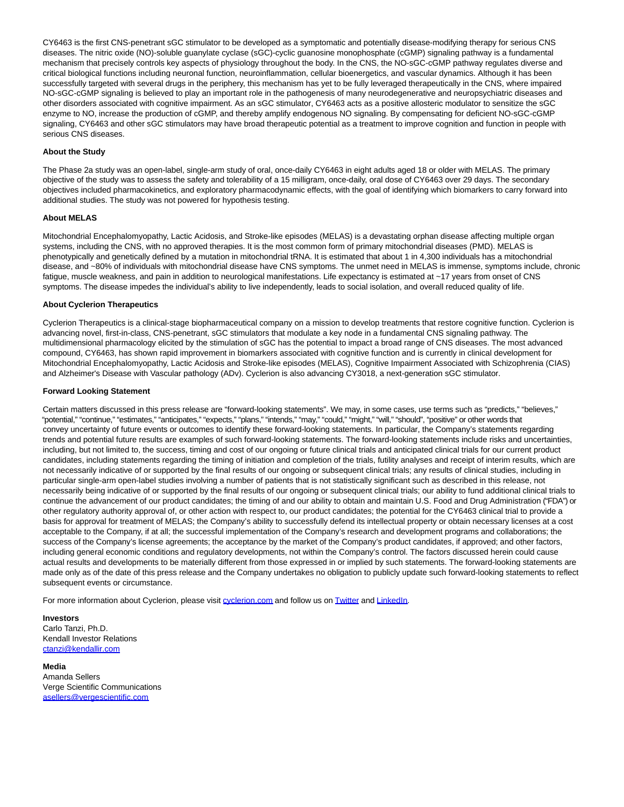CY6463 is the first CNS-penetrant sGC stimulator to be developed as a symptomatic and potentially disease-modifying therapy for serious CNS diseases. The nitric oxide (NO)-soluble guanylate cyclase (sGC)-cyclic guanosine monophosphate (cGMP) signaling pathway is a fundamental mechanism that precisely controls key aspects of physiology throughout the body. In the CNS, the NO-sGC-cGMP pathway regulates diverse and critical biological functions including neuronal function, neuroinflammation, cellular bioenergetics, and vascular dynamics. Although it has been successfully targeted with several drugs in the periphery, this mechanism has yet to be fully leveraged therapeutically in the CNS, where impaired NO-sGC-cGMP signaling is believed to play an important role in the pathogenesis of many neurodegenerative and neuropsychiatric diseases and other disorders associated with cognitive impairment. As an sGC stimulator, CY6463 acts as a positive allosteric modulator to sensitize the sGC enzyme to NO, increase the production of cGMP, and thereby amplify endogenous NO signaling. By compensating for deficient NO-sGC-cGMP signaling, CY6463 and other sGC stimulators may have broad therapeutic potential as a treatment to improve cognition and function in people with serious CNS diseases.

## **About the Study**

The Phase 2a study was an open-label, single-arm study of oral, once-daily CY6463 in eight adults aged 18 or older with MELAS. The primary objective of the study was to assess the safety and tolerability of a 15 milligram, once-daily, oral dose of CY6463 over 29 days. The secondary objectives included pharmacokinetics, and exploratory pharmacodynamic effects, with the goal of identifying which biomarkers to carry forward into additional studies. The study was not powered for hypothesis testing.

## **About MELAS**

Mitochondrial Encephalomyopathy, Lactic Acidosis, and Stroke-like episodes (MELAS) is a devastating orphan disease affecting multiple organ systems, including the CNS, with no approved therapies. It is the most common form of primary mitochondrial diseases (PMD). MELAS is phenotypically and genetically defined by a mutation in mitochondrial tRNA. It is estimated that about 1 in 4,300 individuals has a mitochondrial disease, and ~80% of individuals with mitochondrial disease have CNS symptoms. The unmet need in MELAS is immense, symptoms include, chronic fatigue, muscle weakness, and pain in addition to neurological manifestations. Life expectancy is estimated at ~17 years from onset of CNS symptoms. The disease impedes the individual's ability to live independently, leads to social isolation, and overall reduced quality of life.

#### **About Cyclerion Therapeutics**

Cyclerion Therapeutics is a clinical-stage biopharmaceutical company on a mission to develop treatments that restore cognitive function. Cyclerion is advancing novel, first-in-class, CNS-penetrant, sGC stimulators that modulate a key node in a fundamental CNS signaling pathway. The multidimensional pharmacology elicited by the stimulation of sGC has the potential to impact a broad range of CNS diseases. The most advanced compound, CY6463, has shown rapid improvement in biomarkers associated with cognitive function and is currently in clinical development for Mitochondrial Encephalomyopathy, Lactic Acidosis and Stroke-like episodes (MELAS), Cognitive Impairment Associated with Schizophrenia (CIAS) and Alzheimer's Disease with Vascular pathology (ADv). Cyclerion is also advancing CY3018, a next-generation sGC stimulator.

#### **Forward Looking Statement**

Certain matters discussed in this press release are "forward-looking statements". We may, in some cases, use terms such as "predicts," "believes," "potential," "continue," "estimates," "anticipates," "expects," "plans," "intends," "may," "could," "might," "will," "should", "positive" or other words that convey uncertainty of future events or outcomes to identify these forward-looking statements. In particular, the Company's statements regarding trends and potential future results are examples of such forward-looking statements. The forward-looking statements include risks and uncertainties, including, but not limited to, the success, timing and cost of our ongoing or future clinical trials and anticipated clinical trials for our current product candidates, including statements regarding the timing of initiation and completion of the trials, futility analyses and receipt of interim results, which are not necessarily indicative of or supported by the final results of our ongoing or subsequent clinical trials; any results of clinical studies, including in particular single-arm open-label studies involving a number of patients that is not statistically significant such as described in this release, not necessarily being indicative of or supported by the final results of our ongoing or subsequent clinical trials; our ability to fund additional clinical trials to continue the advancement of our product candidates; the timing of and our ability to obtain and maintain U.S. Food and Drug Administration ("FDA") or other regulatory authority approval of, or other action with respect to, our product candidates; the potential for the CY6463 clinical trial to provide a basis for approval for treatment of MELAS; the Company's ability to successfully defend its intellectual property or obtain necessary licenses at a cost acceptable to the Company, if at all; the successful implementation of the Company's research and development programs and collaborations; the success of the Company's license agreements; the acceptance by the market of the Company's product candidates, if approved; and other factors, including general economic conditions and regulatory developments, not within the Company's control. The factors discussed herein could cause actual results and developments to be materially different from those expressed in or implied by such statements. The forward-looking statements are made only as of the date of this press release and the Company undertakes no obligation to publicly update such forward-looking statements to reflect subsequent events or circumstance.

For more information about Cyclerion, please visit [cyclerion.com a](https://www.globenewswire.com/Tracker?data=07-YBurVETImm9T8vIgWvkjqyXfgEQsraBVeueAConroVLu8oQaqb41r8iOg0wdeGutUCkwneGsPpDJaw6OW7g==)nd follow us on [Twitter a](https://www.globenewswire.com/Tracker?data=6F0113sir0jh83C7QJ8RbewDioYdnJlWSG9kuUpMx14NWQ40eTqJxzKMhkGc1jiCuFBju_TBrTs2vWRWsCm87A==)nd [LinkedIn.](https://www.globenewswire.com/Tracker?data=GoGzwSrHJ54uk4GPNkVN24_Hw66X39tzIhRnW5-7xQeFacfAeyQ8ssxBIEn7ItRdO0TcrOGVGCitc-RCNPTLhdKWSHKT8FWHVlyfvVD0mAY=)

## **Investors**

Carlo Tanzi, Ph.D. Kendall Investor Relations [ctanzi@kendallir.com](https://www.globenewswire.com/Tracker?data=BO6WPUa0EWiWgYxPPx2mfkNcIdKJ4tyztQWSYVD7S3MJon-rpd8uVqF5vnu63yz43cwZSQ81wCmcnI18JC6NZnCgZPOEk-2JD39sW5cZd5k=)

**Media** Amanda Sellers Verge Scientific Communications [asellers@vergescientific.com](https://www.globenewswire.com/Tracker?data=lZV5wX1J1hx2oo_THlSnhIK2kSyltuRnzFFWBWxtitVzeVHgYYw3eNRMIoY9Bg5aKaPC7QIIANC73eJwAOWcWHrqfwxAJYWGdlD5fWsG8BoUyZp468UofKs8nIEr6kYW)